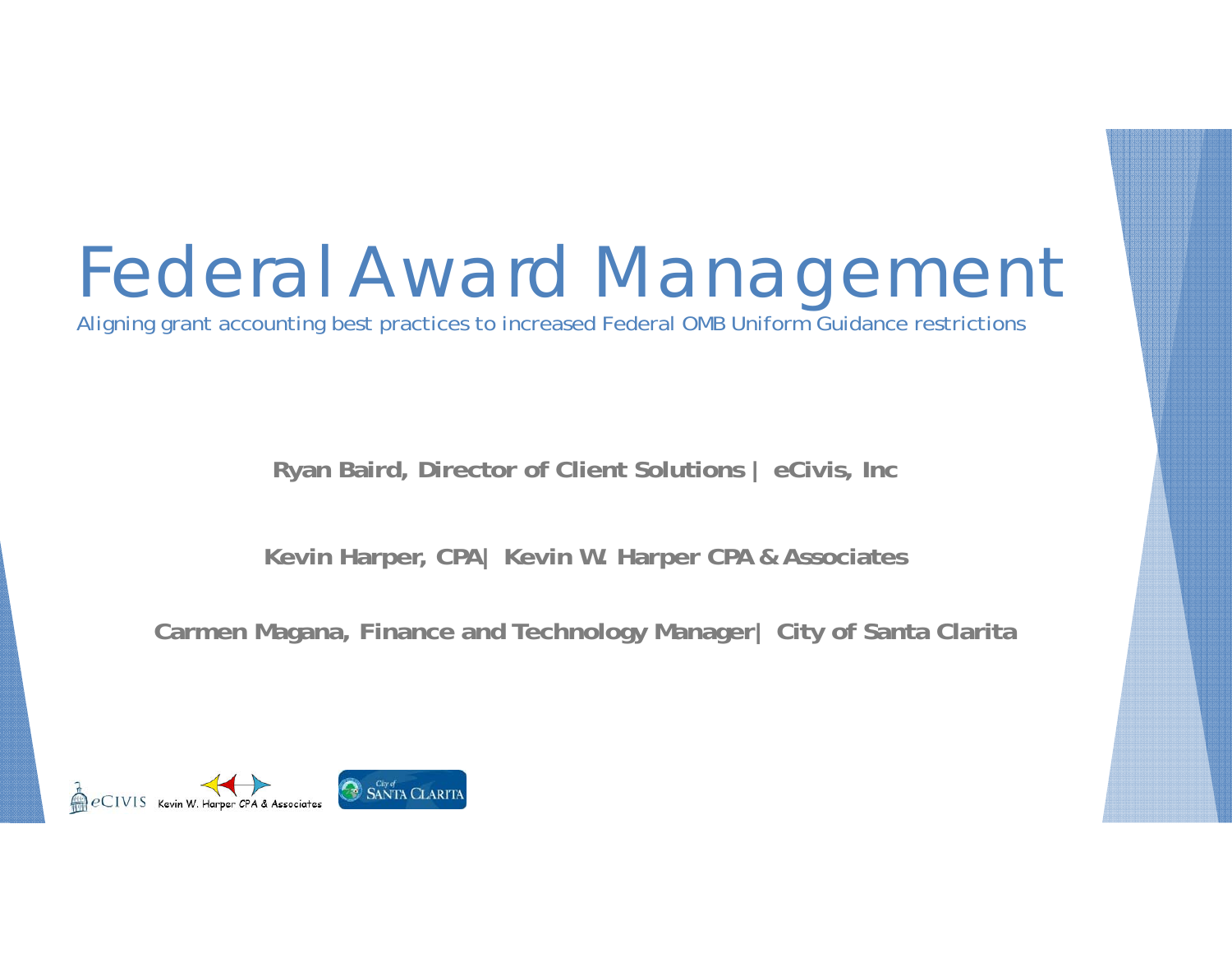## Federal Award Management

Aligning grant accounting best practices to increased Federal OMB Uniform Guidance restrictions

**Ryan Baird, Director of Client Solutions | eCivis, Inc**

**Kevin Harper, CPA| Kevin W. Harper CPA & Associates**

**Carmen Magana, Finance and Technology Manager| City of Santa Clarita**

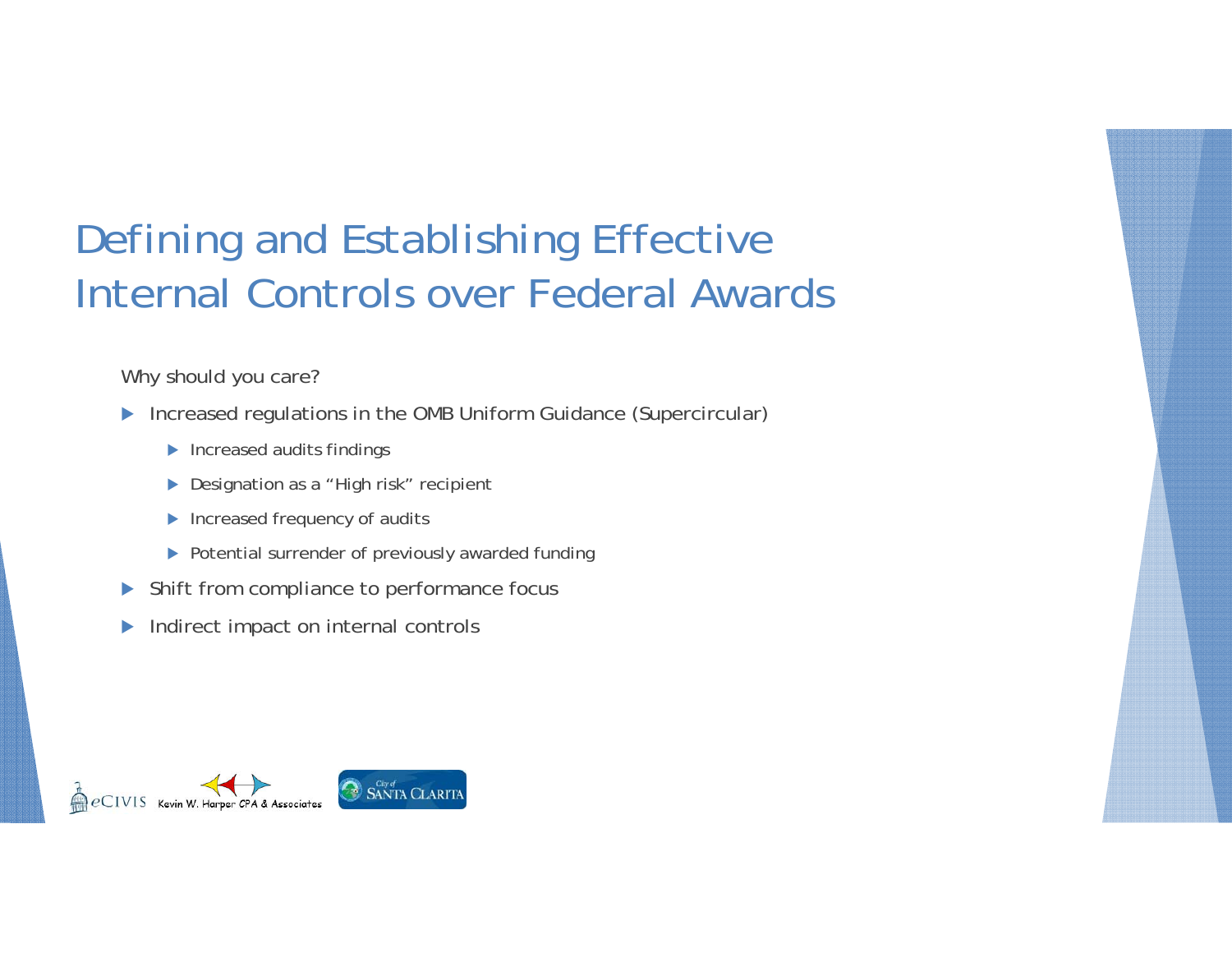#### Defining and Establishing Effective Internal Controls over Federal Awards

Why should you care?

- **Increased regulations in the OMB Uniform Guidance (Supercircular)** 
	- **Increased audits findings**
	- ▶ Designation as a "High risk" recipient
	- Increased frequency of audits
	- ▶ Potential surrender of previously awarded funding
- $\blacktriangleright$ Shift from compliance to performance focus
- $\blacktriangleright$ Indirect impact on internal controls

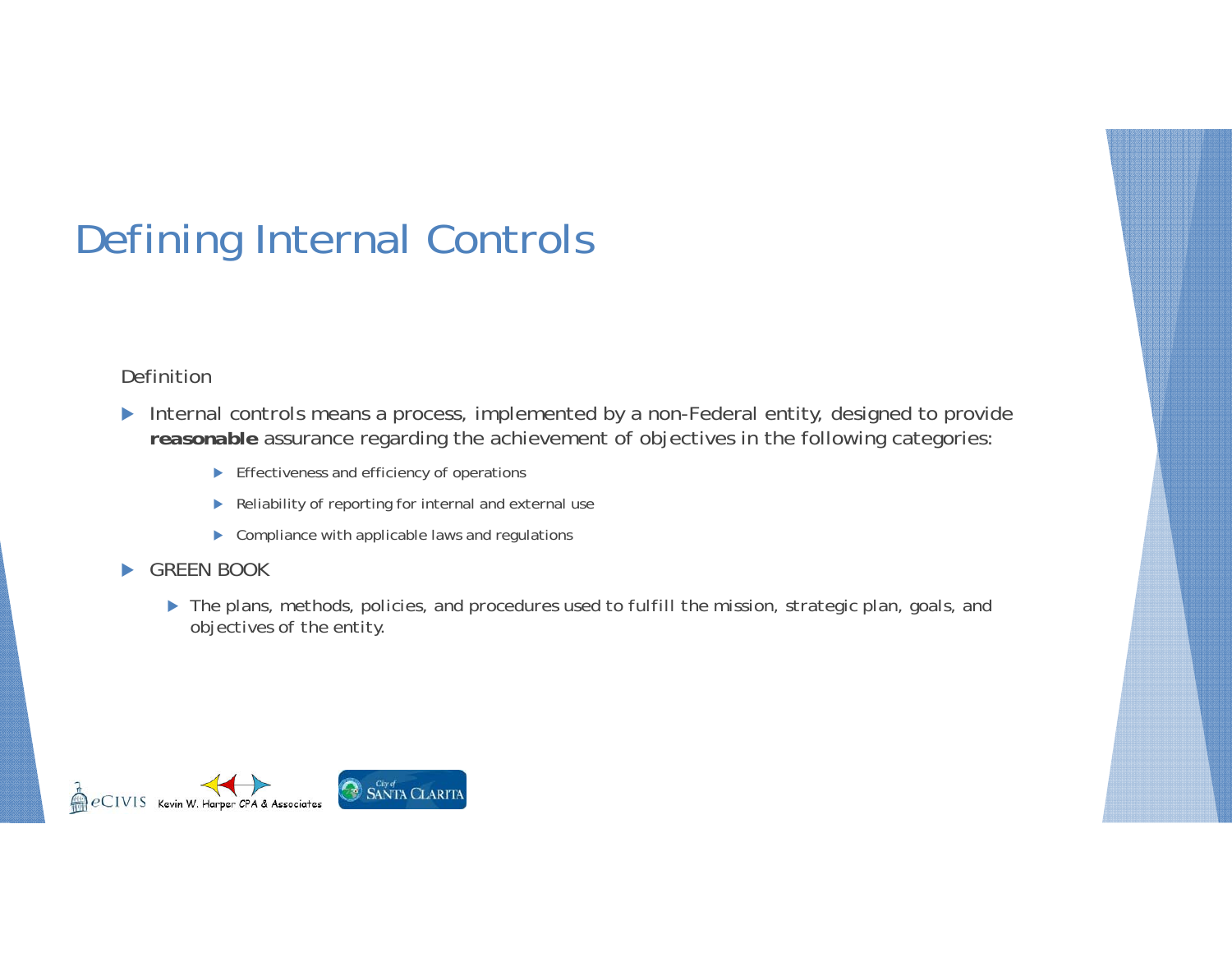#### Definition

- *Internal controls* means a process, implemented by a non-Federal entity, designed to provide *reasonable* assurance regarding the achievement of objectives in the following categories:
	- **Effectiveness and efficiency of operations**
	- Reliability of reporting for internal and external use
	- ▶ Compliance with applicable laws and regulations
- ь GREEN BOOK
	- *The plans, methods, policies, and procedures used to fulfill the mission, strategic plan, goals, and objectives of the entity.*

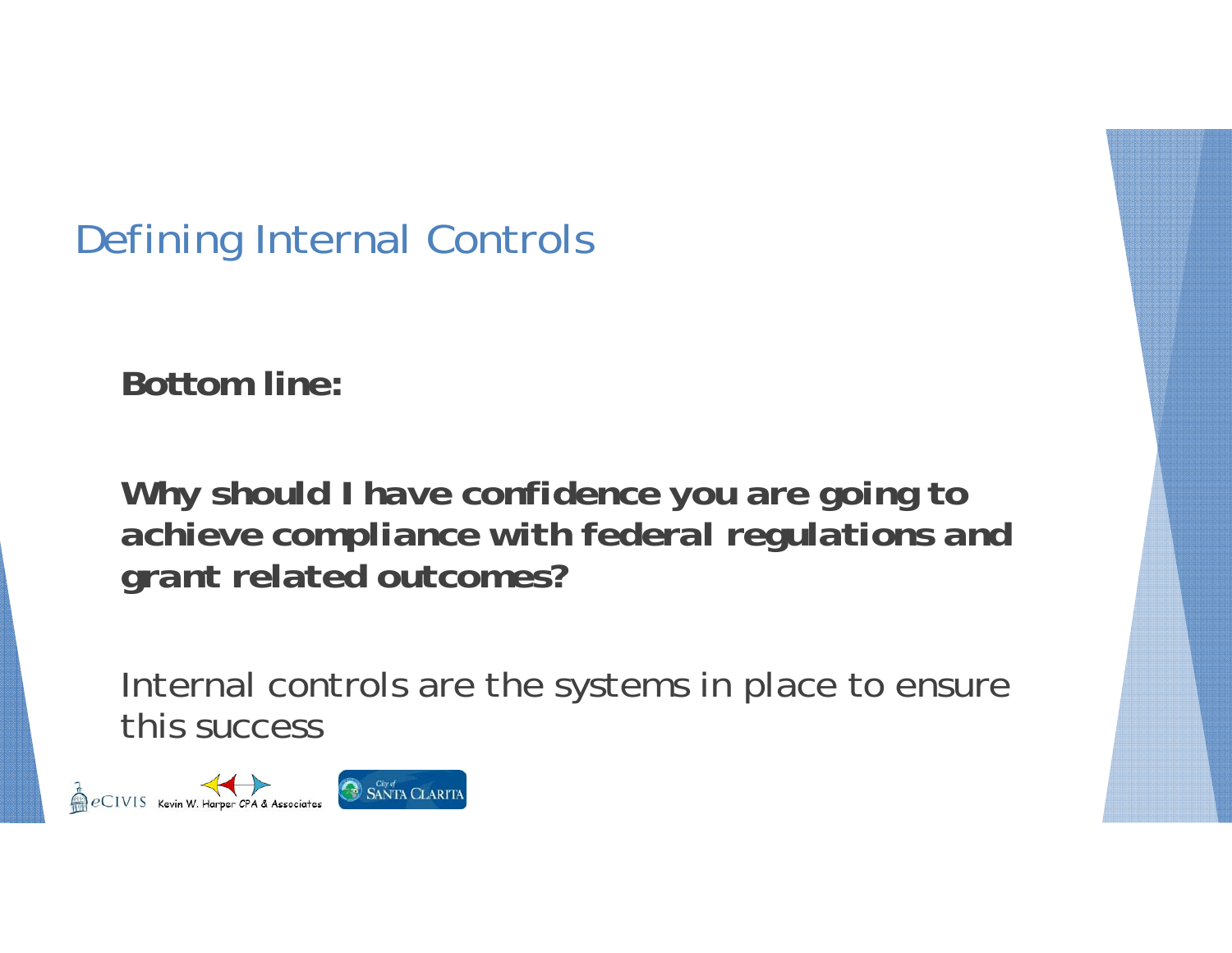**Bottom line:**

*Why should I have confidence you are going to achieve compliance with federal regulations and grant related outcomes?*

Internal controls are the systems in place to ensure this success

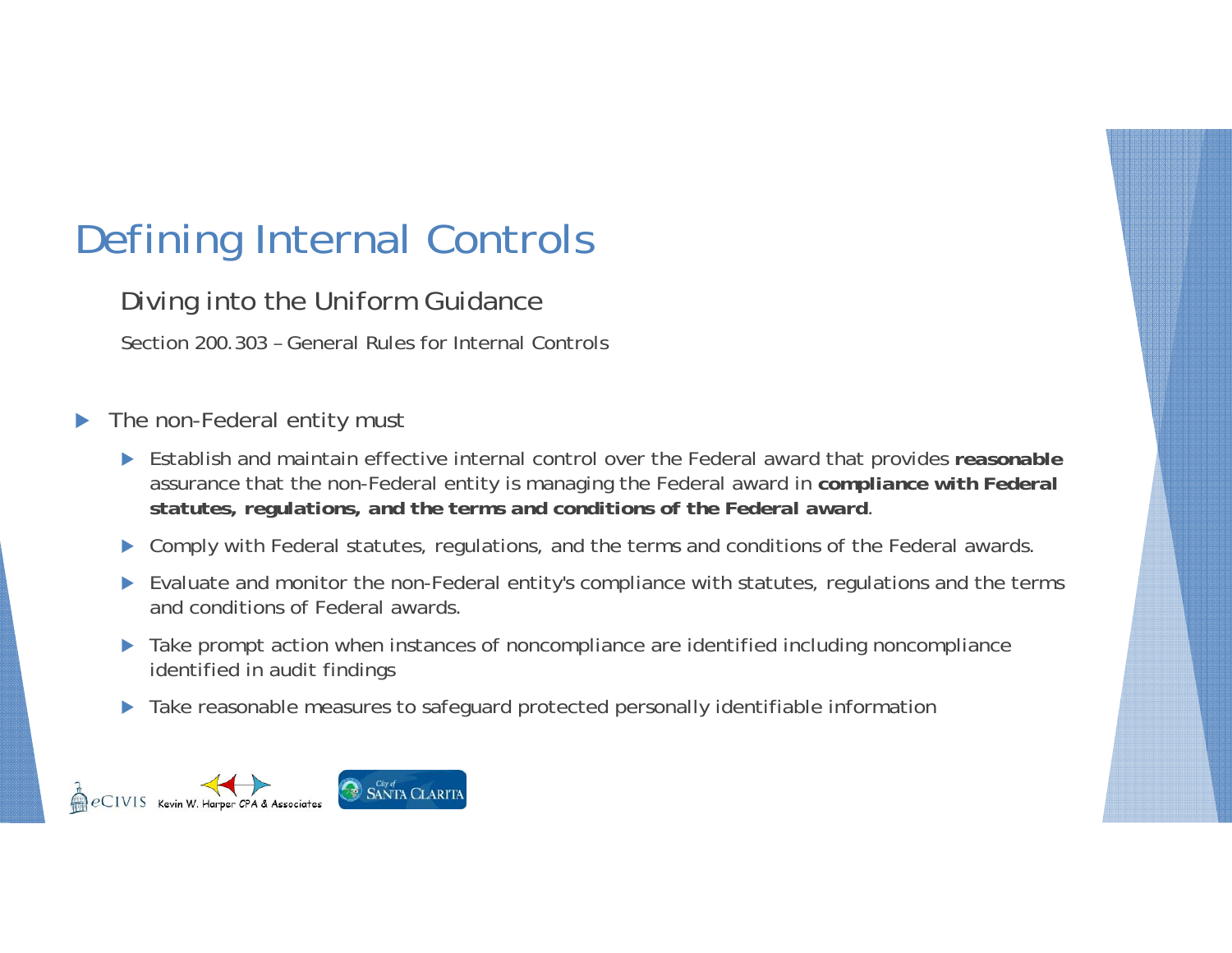Diving into the Uniform Guidance

Section 200.303 – General Rules for Internal Controls

- $\blacktriangleright$  The non-Federal entity must
	- Establish and maintain effective internal control over the Federal award that provides *reasonable* assurance that the non-Federal entity is managing the Federal award in *compliance with Federal statutes, regulations, and the terms and conditions of the Federal award*.
	- $\blacktriangleright$ Comply with Federal statutes, regulations, and the terms and conditions of the Federal awards.
	- Evaluate and monitor the non-Federal entity's compliance with statutes, regulations and the terms and conditions of Federal awards.
	- Take prompt action when instances of noncompliance are identified including noncompliance identified in audit findings
	- $\blacktriangleright$ Take reasonable measures to safeguard protected personally identifiable information

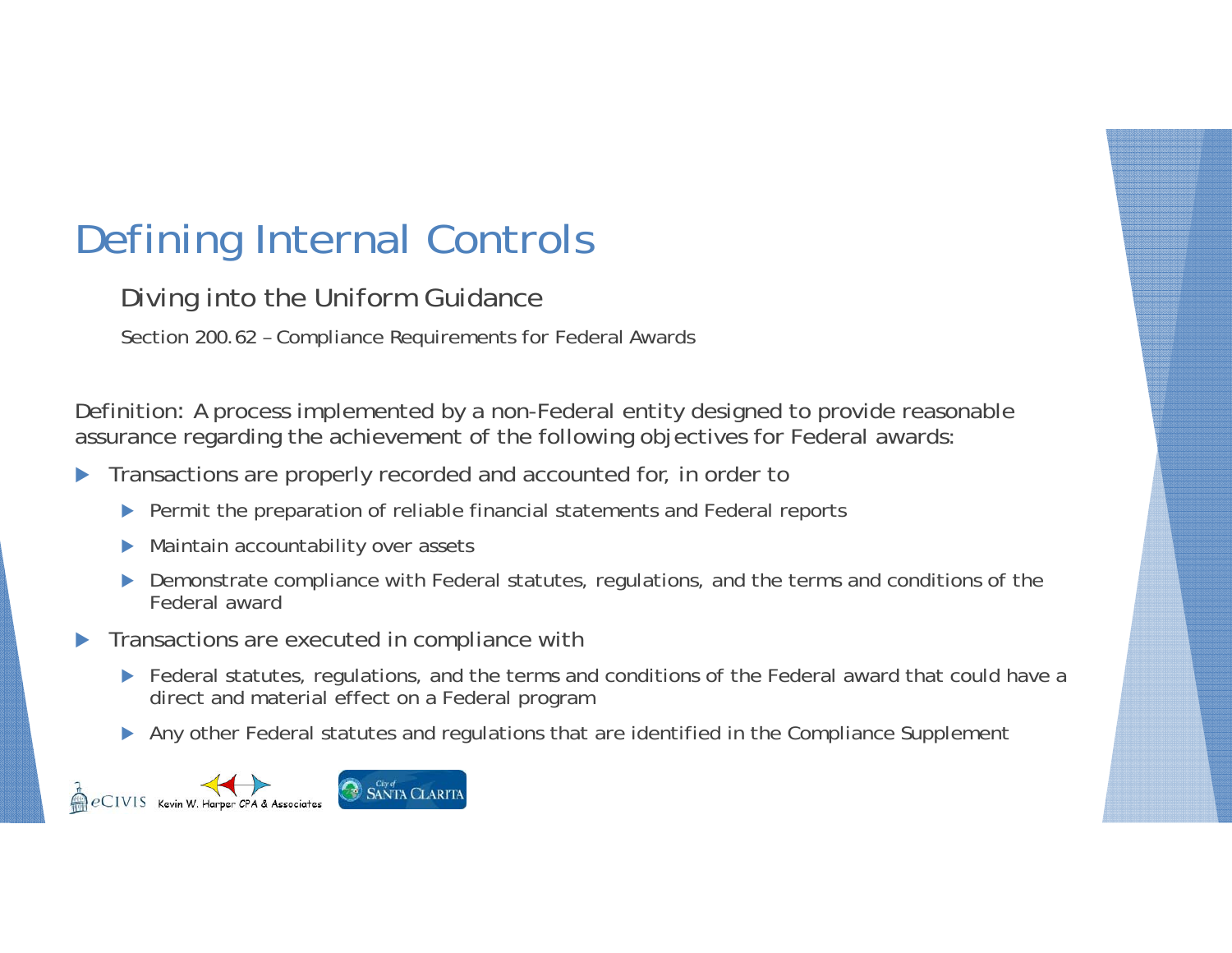Diving into the Uniform Guidance

Section 200.62 – Compliance Requirements for Federal Awards

Definition: A process implemented by a non-Federal entity designed to provide reasonable assurance regarding the achievement of the following objectives for Federal awards:

- $\blacktriangleright$  Transactions are properly recorded and accounted for, in order to
	- **Permit the preparation of reliable financial statements and Federal reports**
	- $\blacktriangleright$ Maintain accountability over assets
	- **Demonstrate compliance with Federal statutes, regulations, and the terms and conditions of the** Federal award
- $\blacktriangleright$  Transactions are executed in compliance with
	- ▶ Federal statutes, regulations, and the terms and conditions of the Federal award that could have a direct and material effect on a Federal program
	- Any other Federal statutes and regulations that are identified in the Compliance Supplement

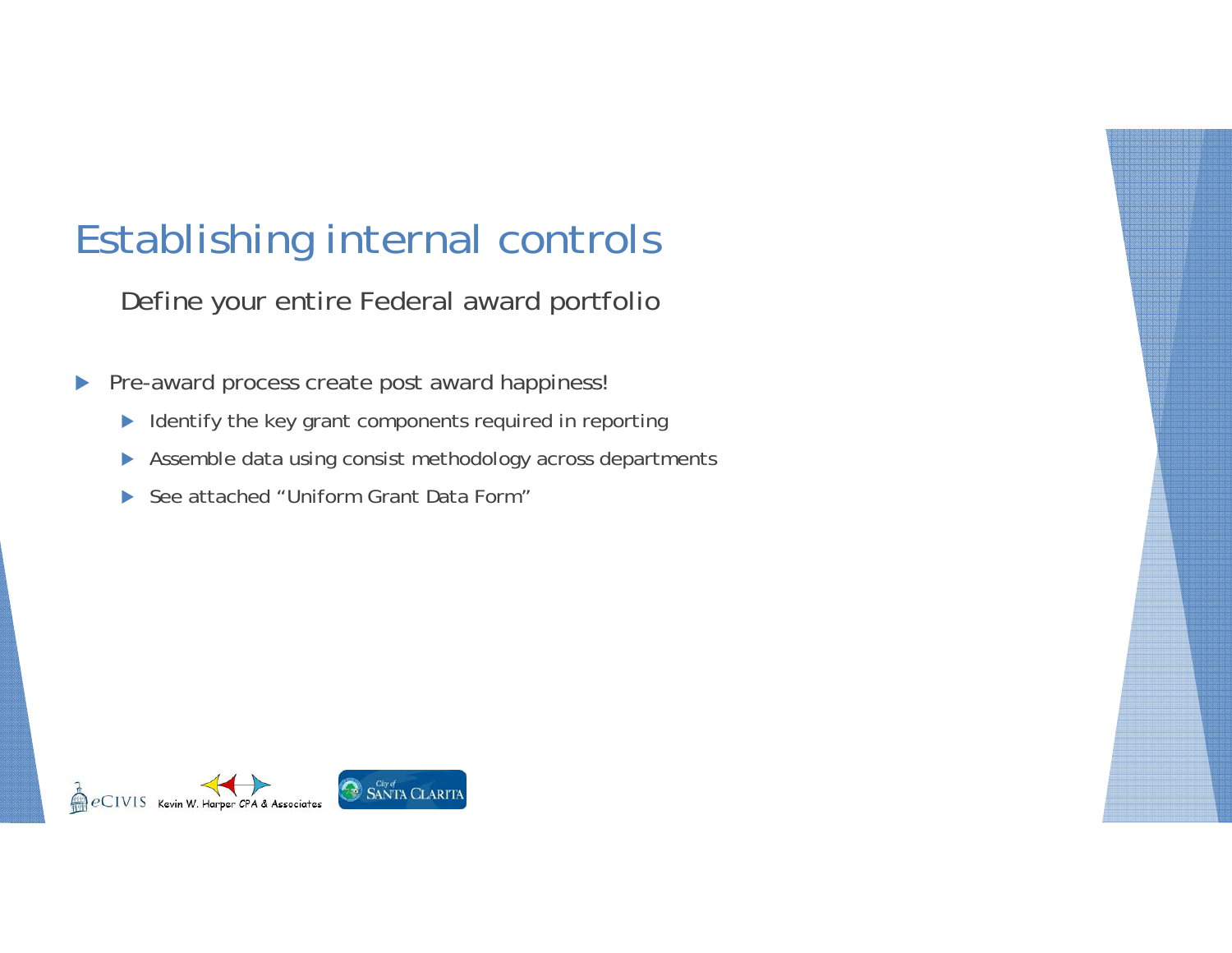#### Establishing internal controls

Define your entire Federal award portfolio

- $\blacktriangleright$  Pre-award process create post award happiness!
	- $\blacktriangleright$ Identify the key grant components required in reporting
	- $\blacktriangleright$ Assemble data using consist methodology across departments
	- $\blacktriangleright$ See attached "Uniform Grant Data Form"

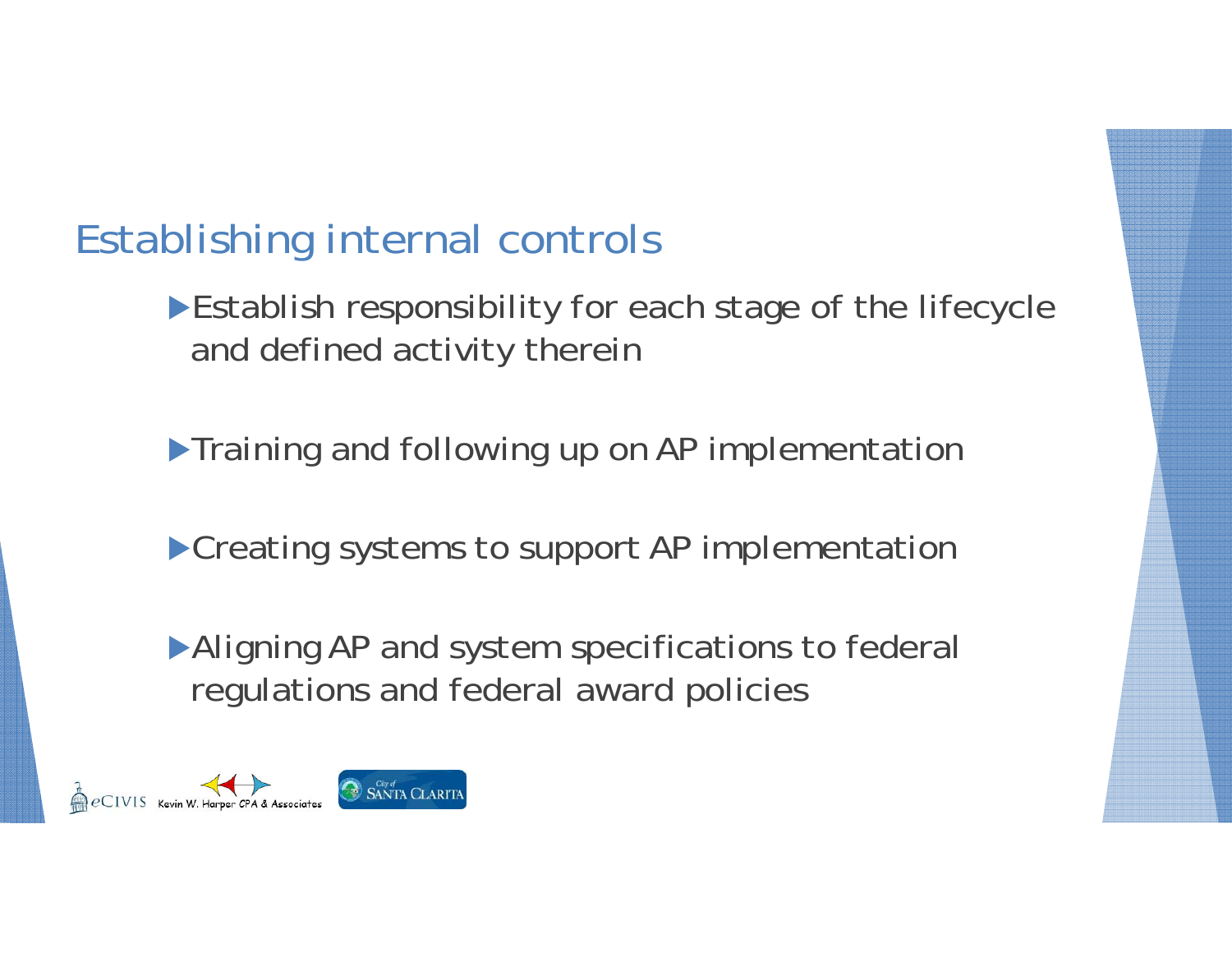#### Establishing internal controls

**Establish responsibility for each stage of the lifecycle** and defined activity therein

**Training and following up on AP implementation** 

**Creating systems to support AP implementation** 

Aligning AP and system specifications to federal regulations and federal award policies

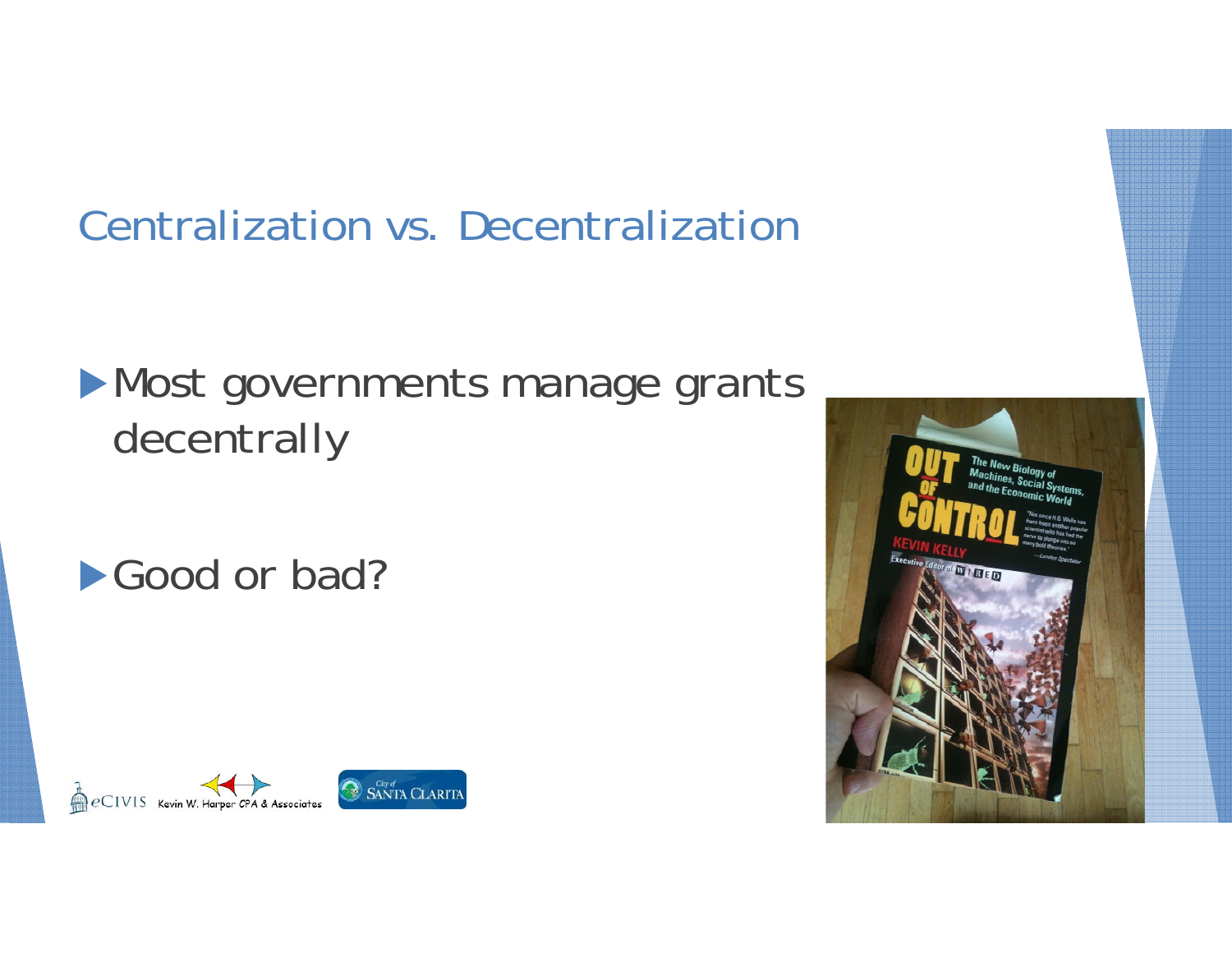### Centralization vs. Decentralization

### **Most governments manage grants** decentrally

Good or bad?



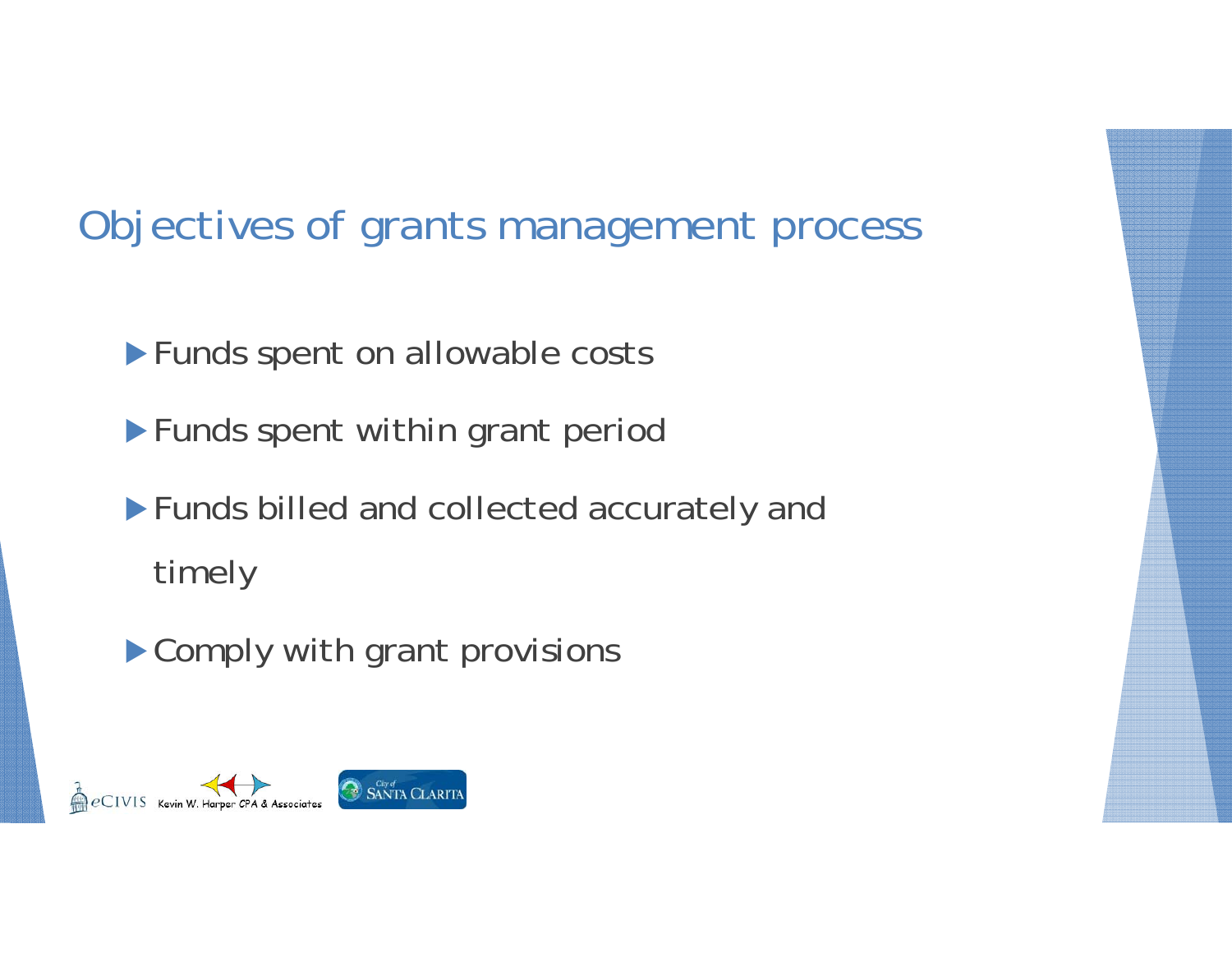#### Objectives of grants management process

**Funds spent on allowable costs** 

**Funds spent within grant period** 

Funds billed and collected accurately and timely

▶ Comply with grant provisions

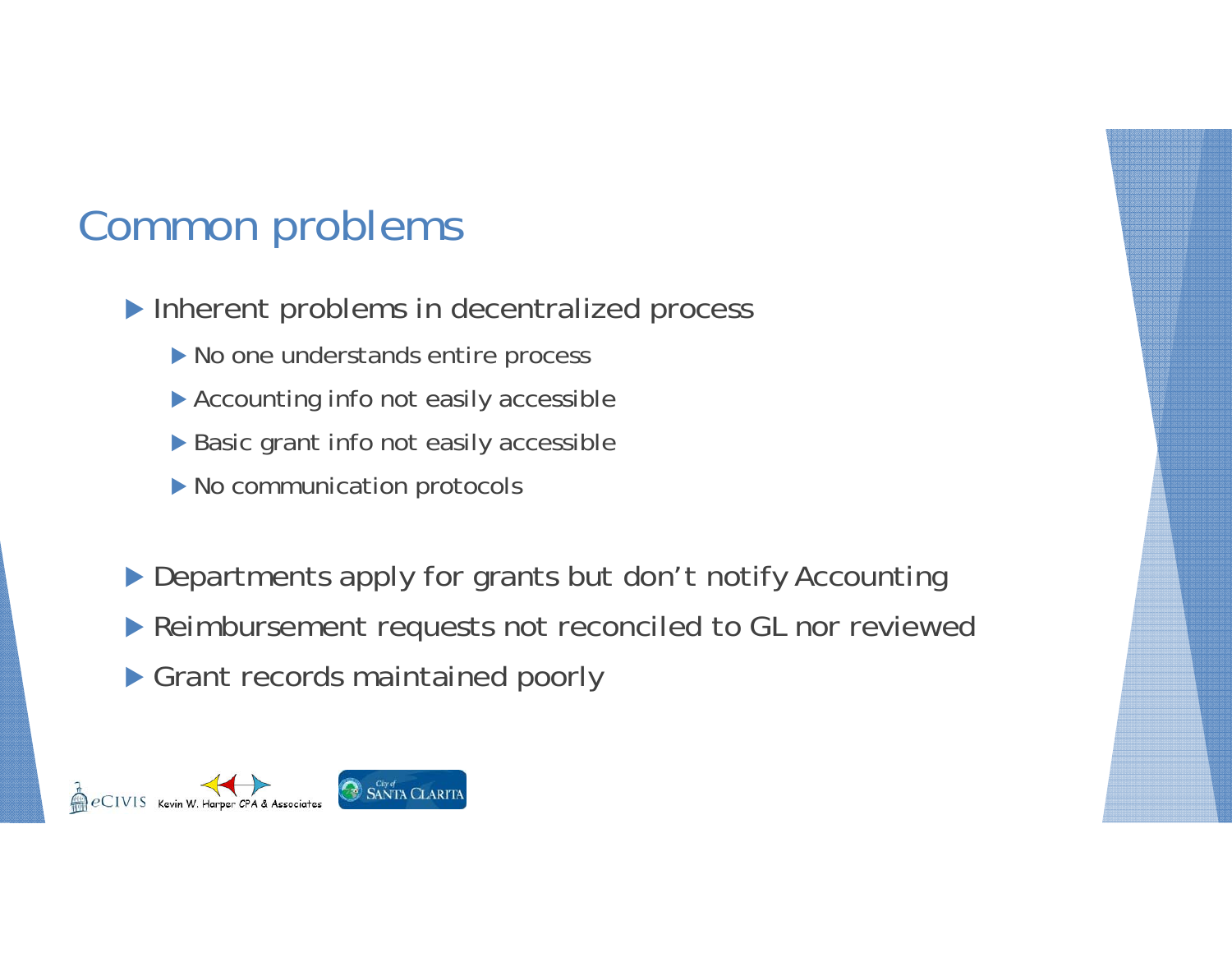#### Common problems

- Inherent problems in decentralized process
	- $\blacktriangleright$  No one understands entire process
	- ▶ Accounting info not easily accessible
	- ▶ Basic grant info not easily accessible
	- ▶ No communication protocols
- Departments apply for grants but don't notify Accounting
- **Reimbursement requests not reconciled to GL nor reviewed**
- Grant records maintained poorly

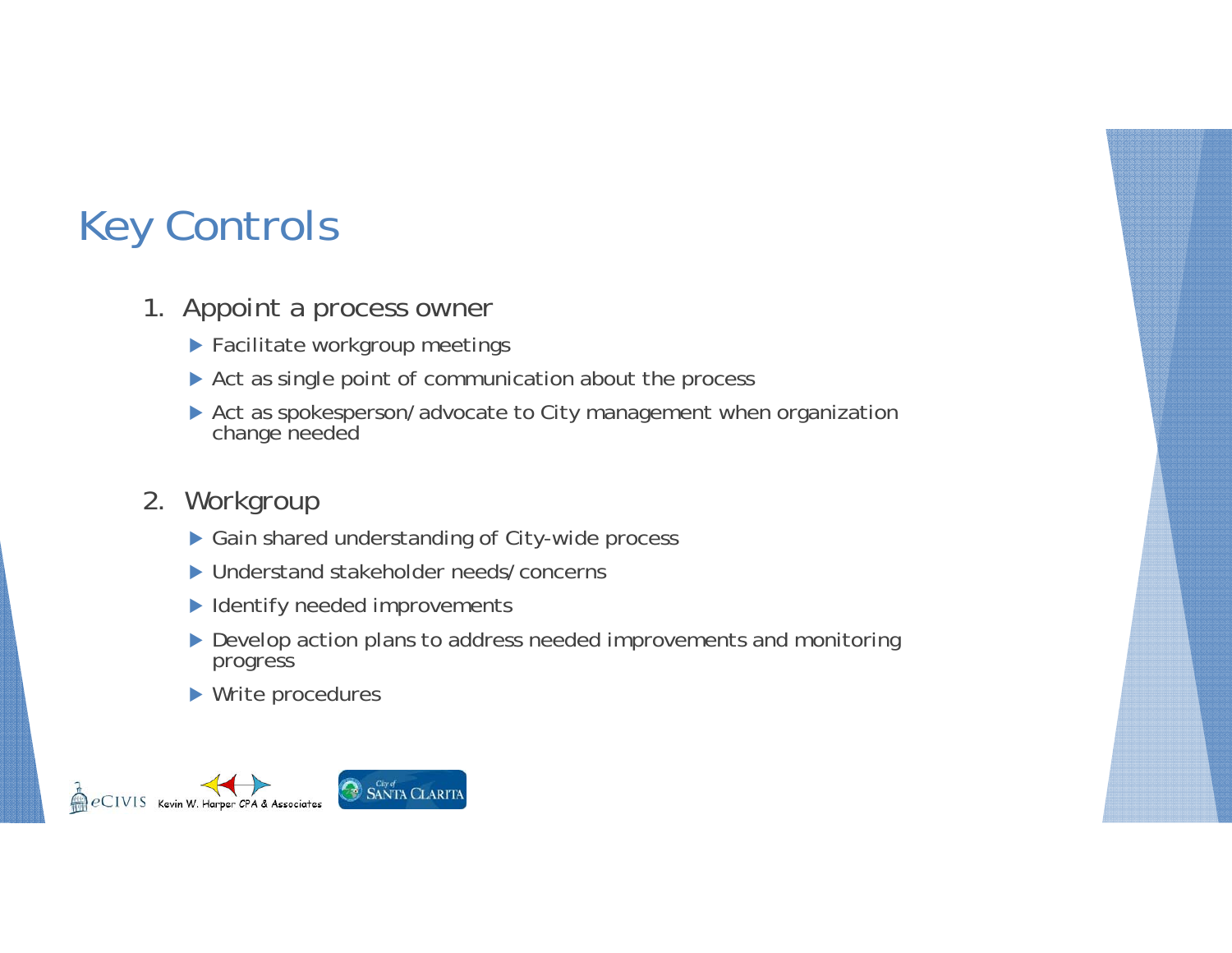#### Key Controls

- 1. Appoint a process owner
	- Facilitate workgroup meetings
	- ▶ Act as single point of communication about the process
	- ▶ Act as spokesperson/advocate to City management when organization change needed
- 2. Workgroup
	- ▶ Gain shared understanding of City-wide process
	- ▶ Understand stakeholder needs/concerns
	- ▶ Identify needed improvements
	- ▶ Develop action plans to address needed improvements and monitoring progress
	- ▶ Write procedures

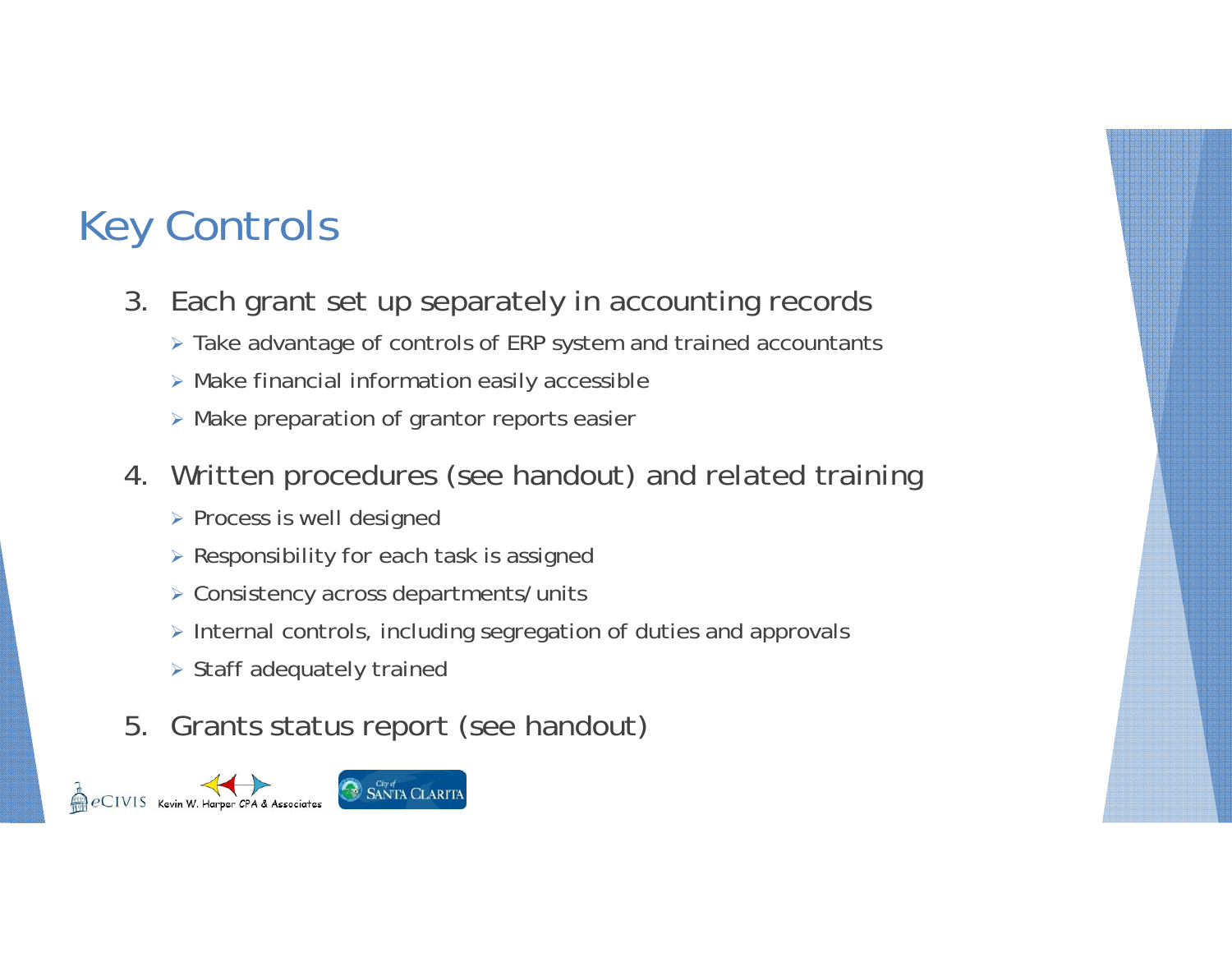### Key Controls

- 3. Each grant set up separately in accounting records
	- Take advantage of controls of ERP system and trained accountants
	- Make financial information easily accessible
	- Make preparation of grantor reports easier
- 4. Written procedures (see handout) and related training
	- $\triangleright$  Process is well designed
	- $\triangleright$  Responsibility for each task is assigned
	- Consistency across departments/units
	- $\triangleright$  Internal controls, including segregation of duties and approvals
	- $\triangleright$  Staff adequately trained
- 5. Grants status report (see handout)

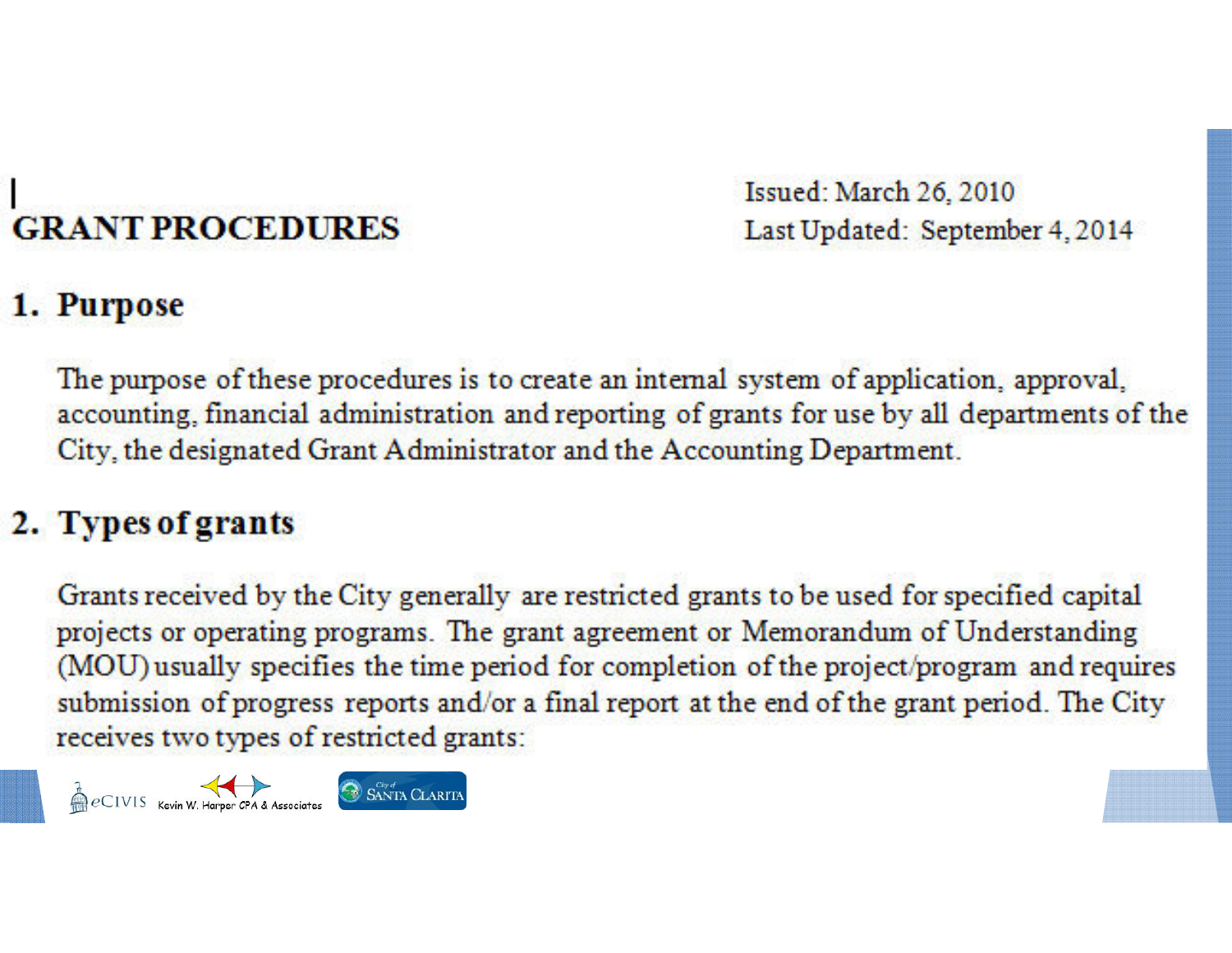# **GRANT PROCEDURES**

Issued: March 26, 2010 Last Updated: September 4, 2014

#### 1. Purpose

The purpose of these procedures is to create an internal system of application, approval, accounting, financial administration and reporting of grants for use by all departments of the City, the designated Grant Administrator and the Accounting Department.

#### 2. Types of grants

Grants received by the City generally are restricted grants to be used for specified capital projects or operating programs. The grant agreement or Memorandum of Understanding (MOU) usually specifies the time period for completion of the project/program and requires submission of progress reports and/or a final report at the end of the grant period. The City receives two types of restricted grants:

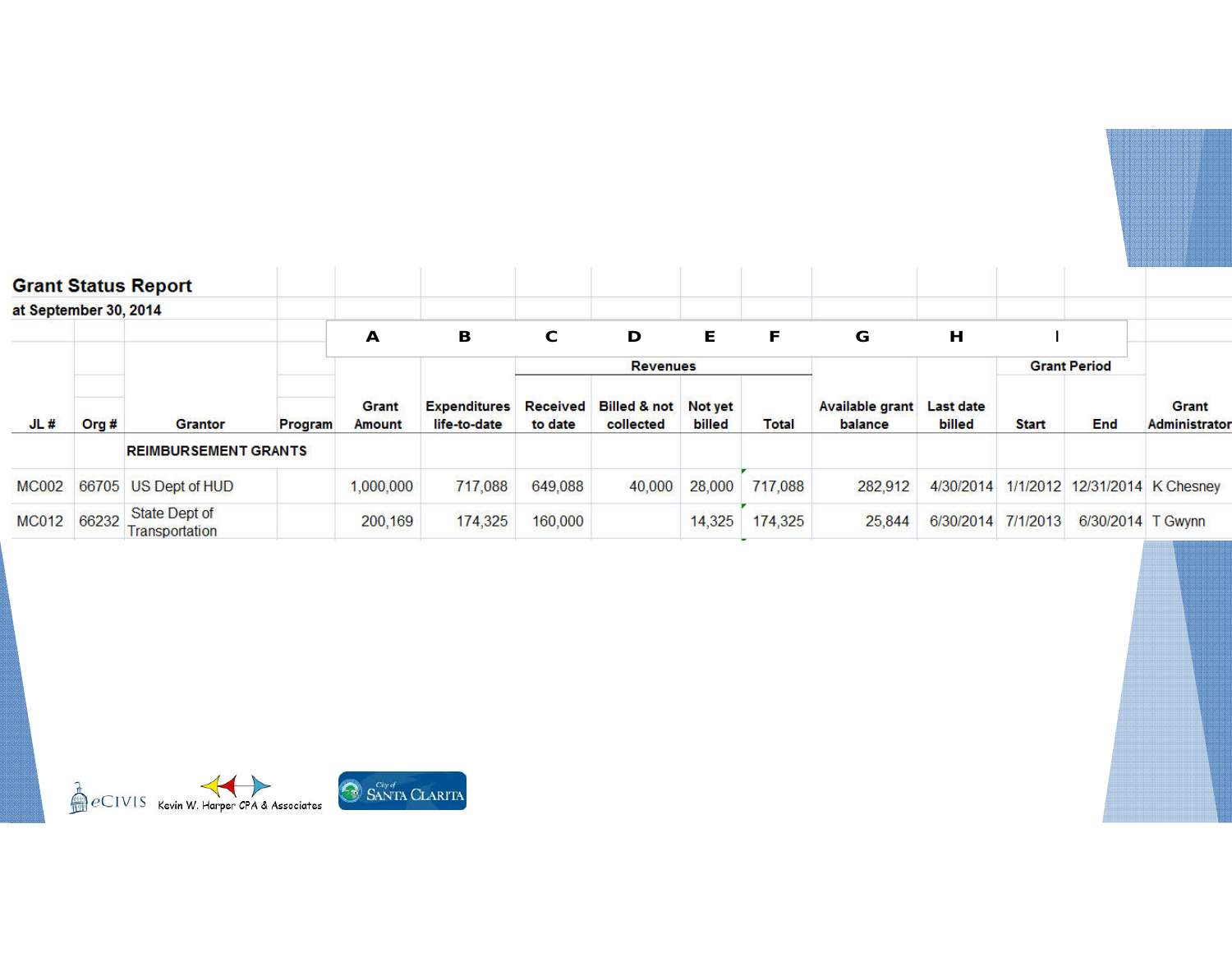|                       |       | <b>Grant Status Report</b>      |         |                                    |                                          |                            |                                              |        |              |                                   |                                   |                     |                   |                               |
|-----------------------|-------|---------------------------------|---------|------------------------------------|------------------------------------------|----------------------------|----------------------------------------------|--------|--------------|-----------------------------------|-----------------------------------|---------------------|-------------------|-------------------------------|
| at September 30, 2014 |       |                                 |         |                                    |                                          |                            |                                              |        |              |                                   |                                   |                     |                   |                               |
|                       | Org # | <b>Grantor</b>                  |         | A<br><b>Grant</b><br><b>Amount</b> | B<br><b>Expenditures</b><br>life-to-date | C                          | D                                            | E      | F            | G                                 | Н                                 |                     |                   |                               |
|                       |       |                                 |         |                                    |                                          | <b>Revenues</b>            |                                              |        |              |                                   |                                   | <b>Grant Period</b> |                   |                               |
| JL#                   |       |                                 | Program |                                    |                                          | <b>Received</b><br>to date | <b>Billed &amp; not</b> Not yet<br>collected | billed | <b>Total</b> | <b>Available grant</b><br>balance | <b>Last date</b><br><b>billed</b> | <b>Start</b>        | End               | Grant<br><b>Administrator</b> |
|                       |       | <b>REIMBURSEMENT GRANTS</b>     |         |                                    |                                          |                            |                                              |        |              |                                   |                                   |                     |                   |                               |
| <b>MC002</b>          | 66705 | US Dept of HUD                  |         | 1,000,000                          | 717,088                                  | 649,088                    | 40,000                                       | 28,000 | 717,088      | 282,912                           | 4/30/2014                         |                     |                   | 1/1/2012 12/31/2014 K Chesney |
| <b>MC012</b>          | 66232 | State Dept of<br>Transportation |         | 200,169                            | 174,325                                  | 160,000                    |                                              | 14,325 | 174,325      | 25,844                            | 6/30/2014                         | 7/1/2013            | 6/30/2014 T Gwynn |                               |

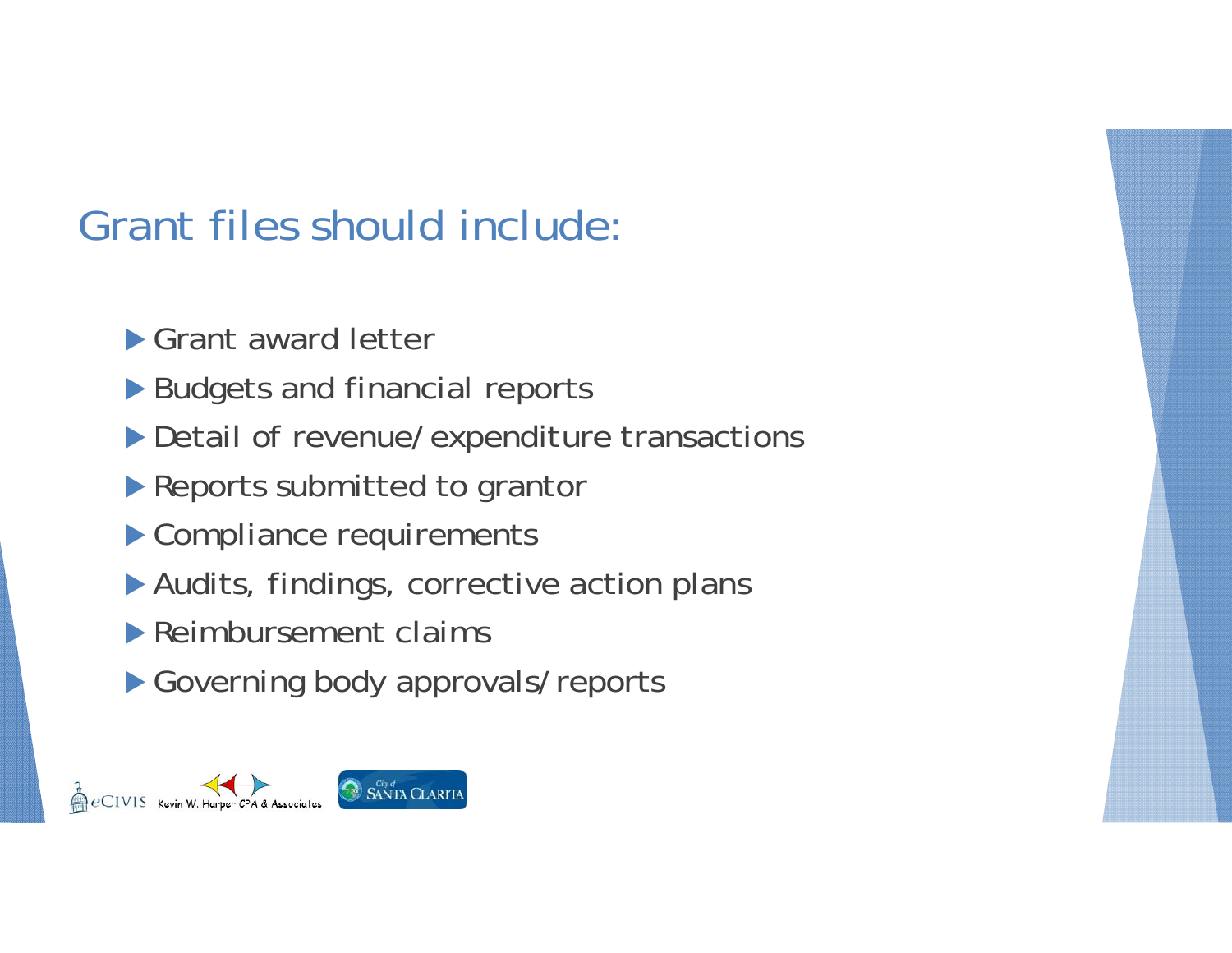### Grant files should include:

Grant award letter

- ▶ Budgets and financial reports
- Detail of revenue/expenditure transactions
- **Reports submitted to grantor**
- Compliance requirements
- Audits, findings, corrective action plans
- Reimbursement claims
- Governing body approvals/reports

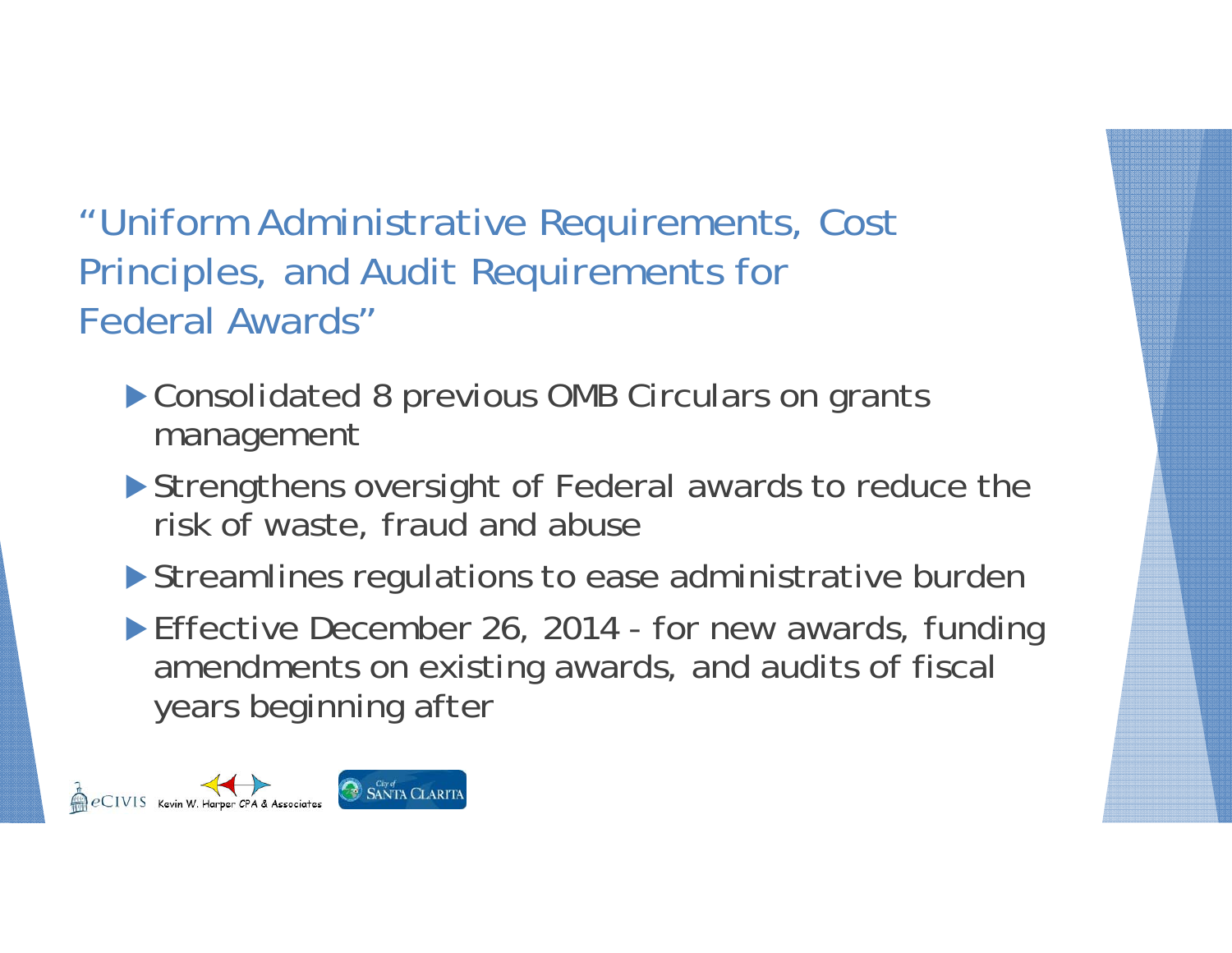"Uniform Administrative Requirements, Cost Principles, and Audit Requirements for Federal Awards"

- ▶ Consolidated 8 previous OMB Circulars on grants management
- Strengthens oversight of Federal awards to reduce the risk of waste, fraud and abuse
- Streamlines regulations to ease administrative burden
- ▶ Effective December 26, 2014 for new awards, funding amendments on existing awards, and audits of fiscal years beginning after

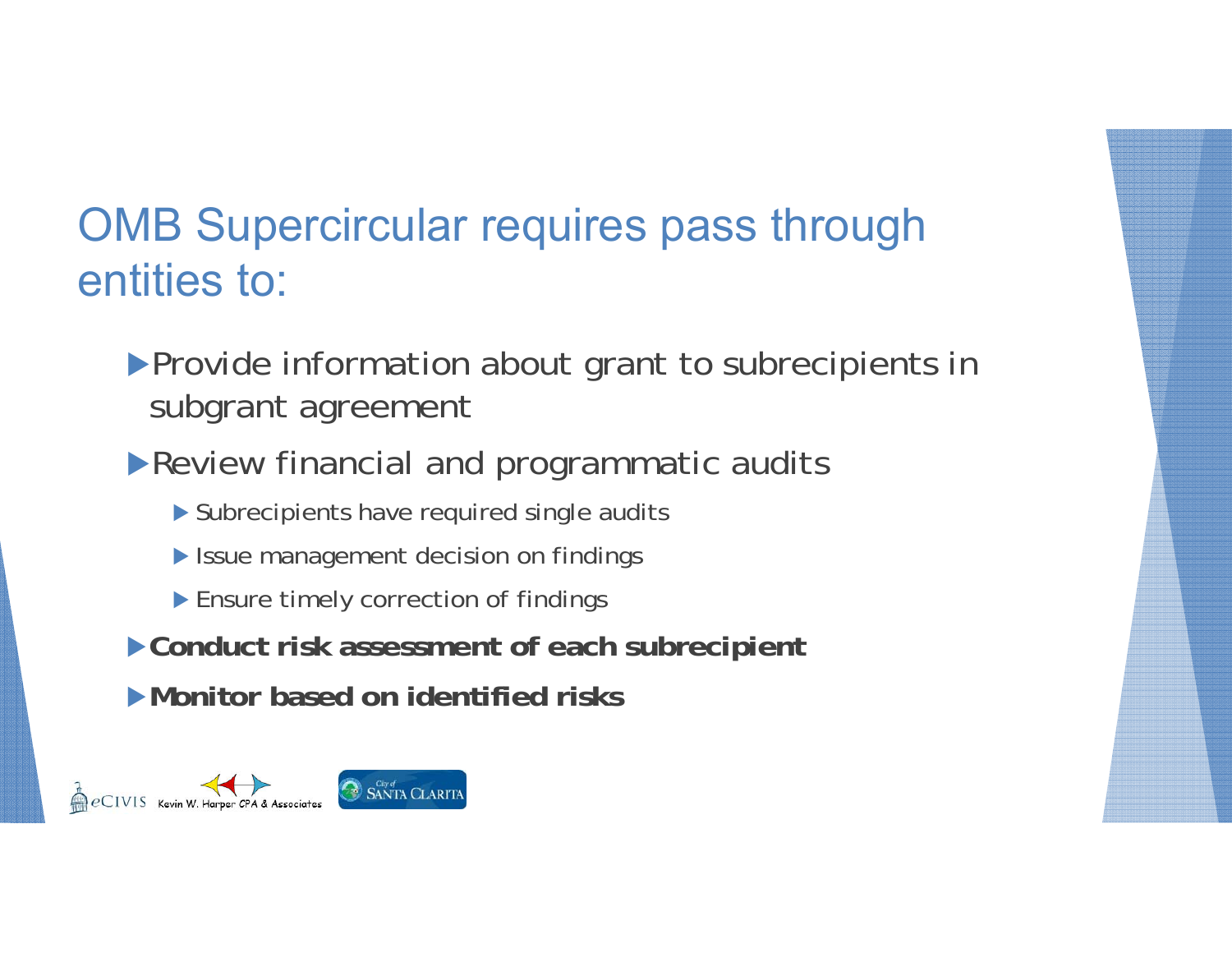### OMB Supercircular requires pass through entities to:

- **Provide information about grant to subrecipients in** subgrant agreement
- Review financial and programmatic audits
	- Subrecipients have required single audits
	- **In Issue management decision on findings**
	- ▶ Ensure timely correction of findings
- **Conduct risk assessment of each subrecipient**
- **Monitor based on identified risks**

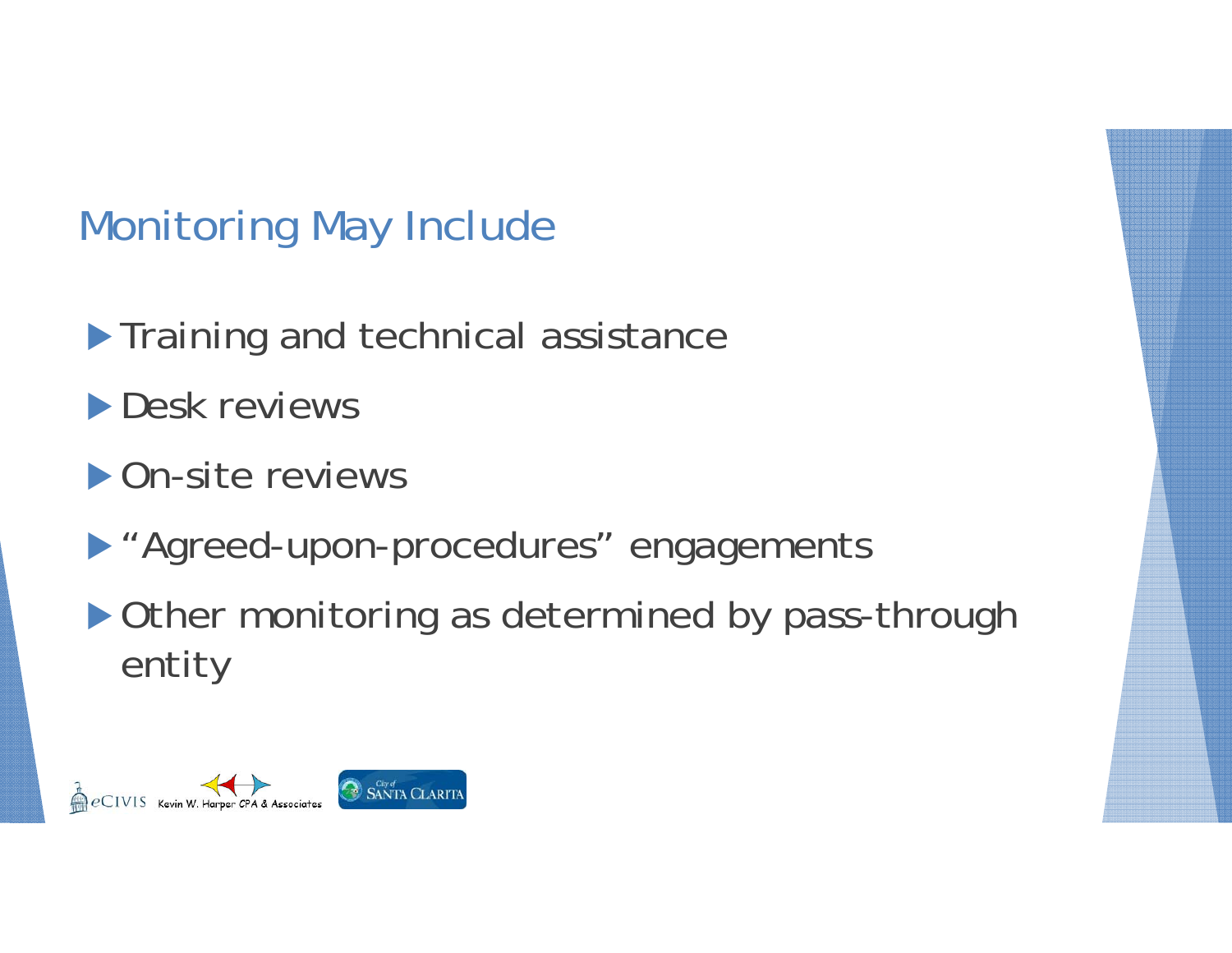### Monitoring May Include

- **Training and technical assistance**
- **Desk reviews**
- ▶ On-site reviews
- "Agreed-upon-procedures" engagements
- ▶ Other monitoring as determined by pass-through entity